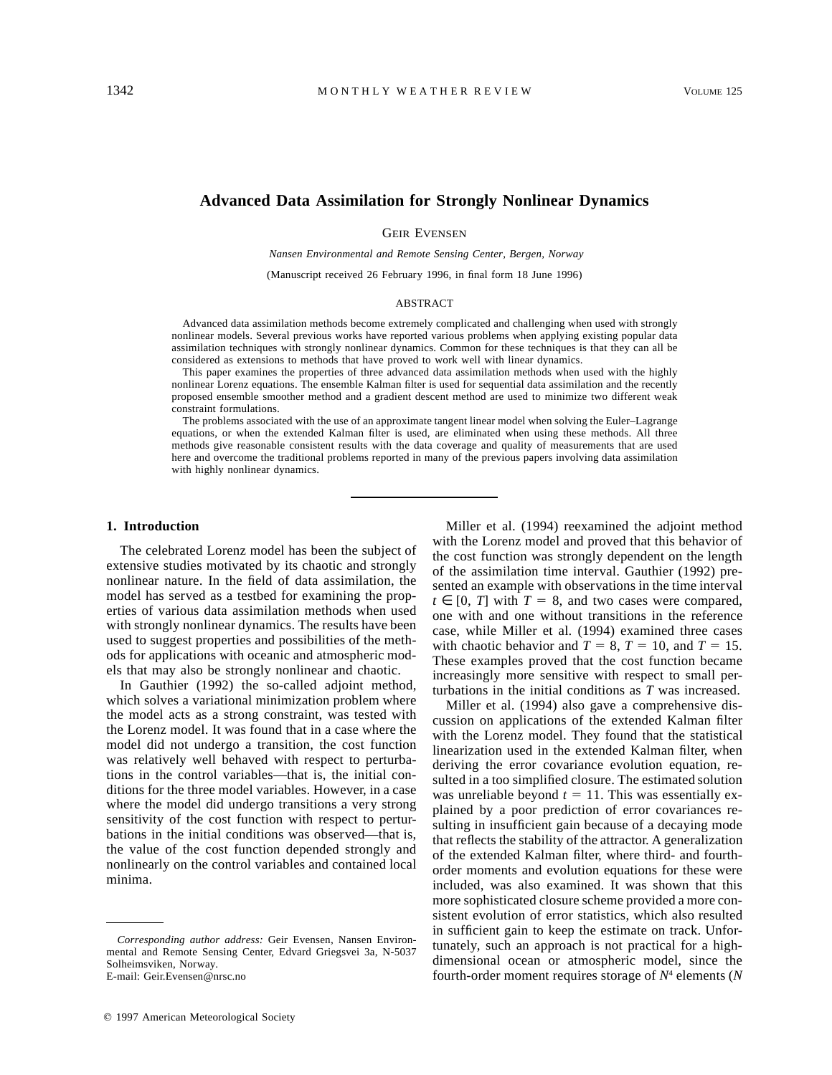# **Advanced Data Assimilation for Strongly Nonlinear Dynamics**

GEIR EVENSEN

*Nansen Environmental and Remote Sensing Center, Bergen, Norway*

(Manuscript received 26 February 1996, in final form 18 June 1996)

#### ABSTRACT

Advanced data assimilation methods become extremely complicated and challenging when used with strongly nonlinear models. Several previous works have reported various problems when applying existing popular data assimilation techniques with strongly nonlinear dynamics. Common for these techniques is that they can all be considered as extensions to methods that have proved to work well with linear dynamics.

This paper examines the properties of three advanced data assimilation methods when used with the highly nonlinear Lorenz equations. The ensemble Kalman filter is used for sequential data assimilation and the recently proposed ensemble smoother method and a gradient descent method are used to minimize two different weak constraint formulations.

The problems associated with the use of an approximate tangent linear model when solving the Euler–Lagrange equations, or when the extended Kalman filter is used, are eliminated when using these methods. All three methods give reasonable consistent results with the data coverage and quality of measurements that are used here and overcome the traditional problems reported in many of the previous papers involving data assimilation with highly nonlinear dynamics.

#### **1. Introduction**

The celebrated Lorenz model has been the subject of extensive studies motivated by its chaotic and strongly nonlinear nature. In the field of data assimilation, the model has served as a testbed for examining the properties of various data assimilation methods when used with strongly nonlinear dynamics. The results have been used to suggest properties and possibilities of the methods for applications with oceanic and atmospheric models that may also be strongly nonlinear and chaotic.

In Gauthier (1992) the so-called adjoint method, which solves a variational minimization problem where the model acts as a strong constraint, was tested with the Lorenz model. It was found that in a case where the model did not undergo a transition, the cost function was relatively well behaved with respect to perturbations in the control variables—that is, the initial conditions for the three model variables. However, in a case where the model did undergo transitions a very strong sensitivity of the cost function with respect to perturbations in the initial conditions was observed—that is, the value of the cost function depended strongly and nonlinearly on the control variables and contained local minima.

Miller et al. (1994) reexamined the adjoint method with the Lorenz model and proved that this behavior of the cost function was strongly dependent on the length of the assimilation time interval. Gauthier (1992) presented an example with observations in the time interval  $t \in [0, T]$  with  $T = 8$ , and two cases were compared, one with and one without transitions in the reference case, while Miller et al. (1994) examined three cases with chaotic behavior and  $T = 8$ ,  $T = 10$ , and  $T = 15$ . These examples proved that the cost function became increasingly more sensitive with respect to small perturbations in the initial conditions as *T* was increased.

Miller et al. (1994) also gave a comprehensive discussion on applications of the extended Kalman filter with the Lorenz model. They found that the statistical linearization used in the extended Kalman filter, when deriving the error covariance evolution equation, resulted in a too simplified closure. The estimated solution was unreliable beyond  $t = 11$ . This was essentially explained by a poor prediction of error covariances resulting in insufficient gain because of a decaying mode that reflects the stability of the attractor. A generalization of the extended Kalman filter, where third- and fourthorder moments and evolution equations for these were included, was also examined. It was shown that this more sophisticated closure scheme provided a more consistent evolution of error statistics, which also resulted in sufficient gain to keep the estimate on track. Unfortunately, such an approach is not practical for a highdimensional ocean or atmospheric model, since the fourth-order moment requires storage of *N*<sup>4</sup> elements (*N*

*Corresponding author address:* Geir Evensen, Nansen Environmental and Remote Sensing Center, Edvard Griegsvei 3a, N-5037 Solheimsviken, Norway. E-mail: Geir.Evensen@nrsc.no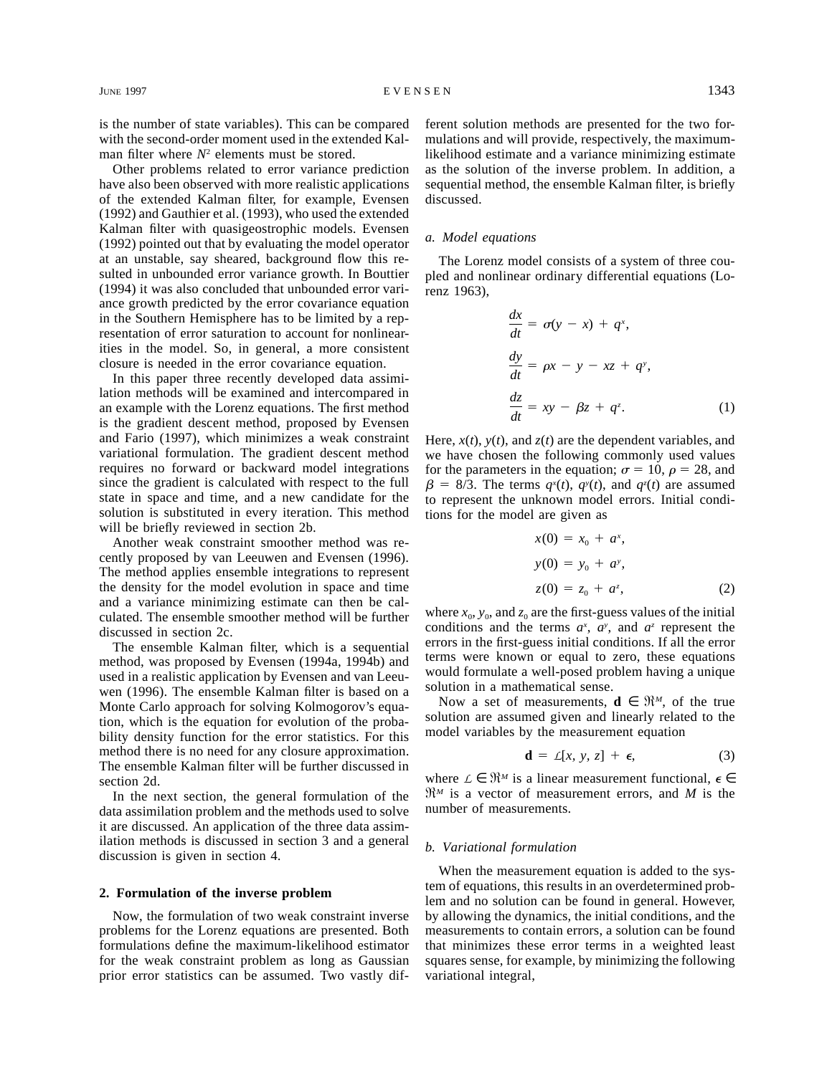is the number of state variables). This can be compared with the second-order moment used in the extended Kalman filter where  $N^2$  elements must be stored.

Other problems related to error variance prediction have also been observed with more realistic applications of the extended Kalman filter, for example, Evensen (1992) and Gauthier et al. (1993), who used the extended Kalman filter with quasigeostrophic models. Evensen (1992) pointed out that by evaluating the model operator at an unstable, say sheared, background flow this resulted in unbounded error variance growth. In Bouttier (1994) it was also concluded that unbounded error variance growth predicted by the error covariance equation in the Southern Hemisphere has to be limited by a representation of error saturation to account for nonlinearities in the model. So, in general, a more consistent closure is needed in the error covariance equation.

In this paper three recently developed data assimilation methods will be examined and intercompared in an example with the Lorenz equations. The first method is the gradient descent method, proposed by Evensen and Fario (1997), which minimizes a weak constraint variational formulation. The gradient descent method requires no forward or backward model integrations since the gradient is calculated with respect to the full state in space and time, and a new candidate for the solution is substituted in every iteration. This method will be briefly reviewed in section 2b.

Another weak constraint smoother method was recently proposed by van Leeuwen and Evensen (1996). The method applies ensemble integrations to represent the density for the model evolution in space and time and a variance minimizing estimate can then be calculated. The ensemble smoother method will be further discussed in section 2c.

The ensemble Kalman filter, which is a sequential method, was proposed by Evensen (1994a, 1994b) and used in a realistic application by Evensen and van Leeuwen (1996). The ensemble Kalman filter is based on a Monte Carlo approach for solving Kolmogorov's equation, which is the equation for evolution of the probability density function for the error statistics. For this method there is no need for any closure approximation. The ensemble Kalman filter will be further discussed in section 2d.

In the next section, the general formulation of the data assimilation problem and the methods used to solve it are discussed. An application of the three data assimilation methods is discussed in section 3 and a general discussion is given in section 4.

#### **2. Formulation of the inverse problem**

Now, the formulation of two weak constraint inverse problems for the Lorenz equations are presented. Both formulations define the maximum-likelihood estimator for the weak constraint problem as long as Gaussian prior error statistics can be assumed. Two vastly different solution methods are presented for the two formulations and will provide, respectively, the maximumlikelihood estimate and a variance minimizing estimate as the solution of the inverse problem. In addition, a sequential method, the ensemble Kalman filter, is briefly discussed.

#### *a. Model equations*

The Lorenz model consists of a system of three coupled and nonlinear ordinary differential equations (Lorenz 1963),

$$
\frac{dx}{dt} = \sigma(y - x) + q^x,
$$
  
\n
$$
\frac{dy}{dt} = \rho x - y - xz + q^y,
$$
  
\n
$$
\frac{dz}{dt} = xy - \beta z + q^z.
$$
 (1)

Here,  $x(t)$ ,  $y(t)$ , and  $z(t)$  are the dependent variables, and we have chosen the following commonly used values for the parameters in the equation;  $\sigma = 10$ ,  $\rho = 28$ , and  $\beta = 8/3$ . The terms  $q^x(t)$ ,  $q^y(t)$ , and  $q^z(t)$  are assumed to represent the unknown model errors. Initial conditions for the model are given as

$$
x(0) = x_0 + a^x,
$$
  
\n
$$
y(0) = y_0 + a^y,
$$
  
\n
$$
z(0) = z_0 + a^z,
$$
\n(2)

where  $x_0$ ,  $y_0$ , and  $z_0$  are the first-guess values of the initial conditions and the terms  $a^x$ ,  $a^y$ , and  $a^z$  represent the errors in the first-guess initial conditions. If all the error terms were known or equal to zero, these equations would formulate a well-posed problem having a unique solution in a mathematical sense.

Now a set of measurements,  $\mathbf{d} \in \mathbb{R}^M$ , of the true solution are assumed given and linearly related to the model variables by the measurement equation

$$
\mathbf{d} = \mathcal{L}[x, y, z] + \epsilon, \tag{3}
$$

where  $\mathcal{L} \in \mathbb{R}^M$  is a linear measurement functional,  $\epsilon \in$  $\mathfrak{R}^M$  is a vector of measurement errors, and M is the number of measurements.

#### *b. Variational formulation*

When the measurement equation is added to the system of equations, this results in an overdetermined problem and no solution can be found in general. However, by allowing the dynamics, the initial conditions, and the measurements to contain errors, a solution can be found that minimizes these error terms in a weighted least squares sense, for example, by minimizing the following variational integral,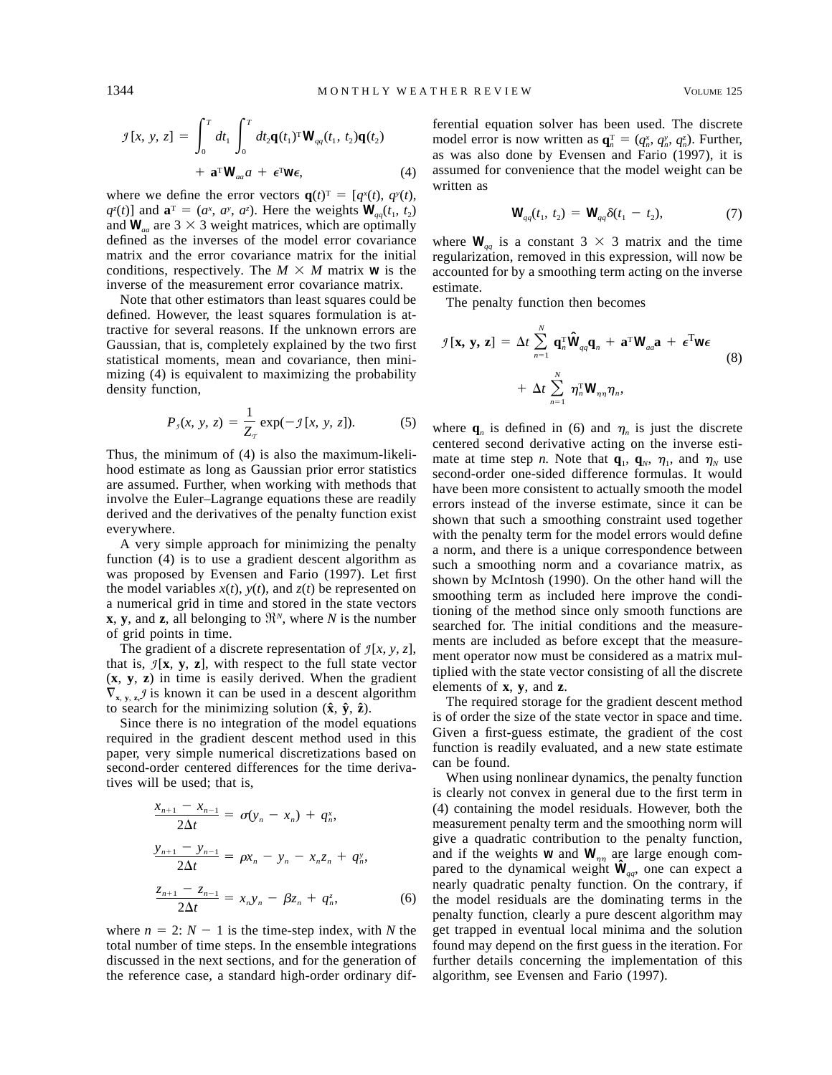$$
\mathcal{I}[x, y, z] = \int_0^T dt_1 \int_0^T dt_2 \mathbf{q}(t_1)^T \mathbf{W}_{qq}(t_1, t_2) \mathbf{q}(t_2)
$$

$$
+ \mathbf{a}^T \mathbf{W}_{aa} a + \epsilon^T \mathbf{W} \epsilon, \tag{4}
$$

where we define the error vectors  $\mathbf{q}(t)^T = [q^x(t), q^y(t)]$ ,  $q^z(t)$ ] and  $\mathbf{a}^T = (a^x, a^y, a^z)$ . Here the weights  $\mathbf{W}_{qq}(t_1, t_2)$ and  $W_a$  are 3  $\times$  3 weight matrices, which are optimally defined as the inverses of the model error covariance matrix and the error covariance matrix for the initial conditions, respectively. The  $M \times M$  matrix **w** is the inverse of the measurement error covariance matrix.

Note that other estimators than least squares could be defined. However, the least squares formulation is attractive for several reasons. If the unknown errors are Gaussian, that is, completely explained by the two first statistical moments, mean and covariance, then minimizing (4) is equivalent to maximizing the probability density function,

$$
P_{\jmath}(x, y, z) = \frac{1}{Z_{\tau}} \exp(-\mathcal{I}[x, y, z]). \tag{5}
$$

Thus, the minimum of (4) is also the maximum-likelihood estimate as long as Gaussian prior error statistics are assumed. Further, when working with methods that involve the Euler–Lagrange equations these are readily derived and the derivatives of the penalty function exist everywhere.

A very simple approach for minimizing the penalty function (4) is to use a gradient descent algorithm as was proposed by Evensen and Fario (1997). Let first the model variables  $x(t)$ ,  $y(t)$ , and  $z(t)$  be represented on a numerical grid in time and stored in the state vectors **x**, **y**, and **z**, all belonging to  $\mathbb{R}^N$ , where *N* is the number of grid points in time.

The gradient of a discrete representation of  $\mathcal{I}[x, y, z]$ , that is,  $\mathcal{I}[\mathbf{x}, \mathbf{y}, \mathbf{z}]$ , with respect to the full state vector (**x**, **y**, **z**) in time is easily derived. When the gradient  $\nabla$ <sub>**x**, **y**, **z**, *J* is known it can be used in a descent algorithm</sub> to search for the minimizing solution  $(\hat{\mathbf{x}}, \hat{\mathbf{y}}, \hat{\mathbf{z}})$ .

Since there is no integration of the model equations required in the gradient descent method used in this paper, very simple numerical discretizations based on second-order centered differences for the time derivatives will be used; that is,

$$
\frac{x_{n+1} - x_{n-1}}{2\Delta t} = \sigma(y_n - x_n) + q_n^x,
$$
  

$$
\frac{y_{n+1} - y_{n-1}}{2\Delta t} = \rho x_n - y_n - x_n z_n + q_n^y,
$$
  

$$
\frac{z_{n+1} - z_{n-1}}{2\Delta t} = x_n y_n - \beta z_n + q_n^z,
$$
 (6)

where  $n = 2$ :  $N - 1$  is the time-step index, with *N* the total number of time steps. In the ensemble integrations discussed in the next sections, and for the generation of the reference case, a standard high-order ordinary differential equation solver has been used. The discrete model error is now written as  $\mathbf{q}_n^T = (q_n^x, q_n^y, q_n^z)$ . Further, as was also done by Evensen and Fario (1997), it is assumed for convenience that the model weight can be written as

$$
\mathbf{W}_{qq}(t_1, t_2) = \mathbf{W}_{qq} \delta(t_1 - t_2), \tag{7}
$$

where  $W_{qq}$  is a constant 3  $\times$  3 matrix and the time regularization, removed in this expression, will now be accounted for by a smoothing term acting on the inverse estimate.

The penalty function then becomes

$$
\mathcal{I}[\mathbf{x}, \mathbf{y}, \mathbf{z}] = \Delta t \sum_{n=1}^{N} \mathbf{q}_{n}^{\mathrm{T}} \hat{\mathbf{W}}_{qq} \mathbf{q}_{n} + \mathbf{a}^{\mathrm{T}} \mathbf{W}_{aa} \mathbf{a} + \boldsymbol{\epsilon}^{\mathrm{T}} \mathbf{w} \boldsymbol{\epsilon} + \Delta t \sum_{n=1}^{N} \eta_{n}^{\mathrm{T}} \mathbf{W}_{\eta \eta} \eta_{n},
$$
\n(8)

where  $\mathbf{q}_n$  is defined in (6) and  $\eta_n$  is just the discrete centered second derivative acting on the inverse estimate at time step *n*. Note that  $\mathbf{q}_1$ ,  $\mathbf{q}_N$ ,  $\eta_1$ , and  $\eta_N$  use second-order one-sided difference formulas. It would have been more consistent to actually smooth the model errors instead of the inverse estimate, since it can be shown that such a smoothing constraint used together with the penalty term for the model errors would define a norm, and there is a unique correspondence between such a smoothing norm and a covariance matrix, as shown by McIntosh (1990). On the other hand will the smoothing term as included here improve the conditioning of the method since only smooth functions are searched for. The initial conditions and the measurements are included as before except that the measurement operator now must be considered as a matrix multiplied with the state vector consisting of all the discrete elements of **x**, **y**, and **z**.

The required storage for the gradient descent method is of order the size of the state vector in space and time. Given a first-guess estimate, the gradient of the cost function is readily evaluated, and a new state estimate can be found.

When using nonlinear dynamics, the penalty function is clearly not convex in general due to the first term in (4) containing the model residuals. However, both the measurement penalty term and the smoothing norm will give a quadratic contribution to the penalty function, and if the weights **w** and  $W_{\eta\eta}$  are large enough compared to the dynamical weight  $\hat{\mathbf{W}}_{qq}$ , one can expect a nearly quadratic penalty function. On the contrary, if the model residuals are the dominating terms in the penalty function, clearly a pure descent algorithm may get trapped in eventual local minima and the solution found may depend on the first guess in the iteration. For further details concerning the implementation of this algorithm, see Evensen and Fario (1997).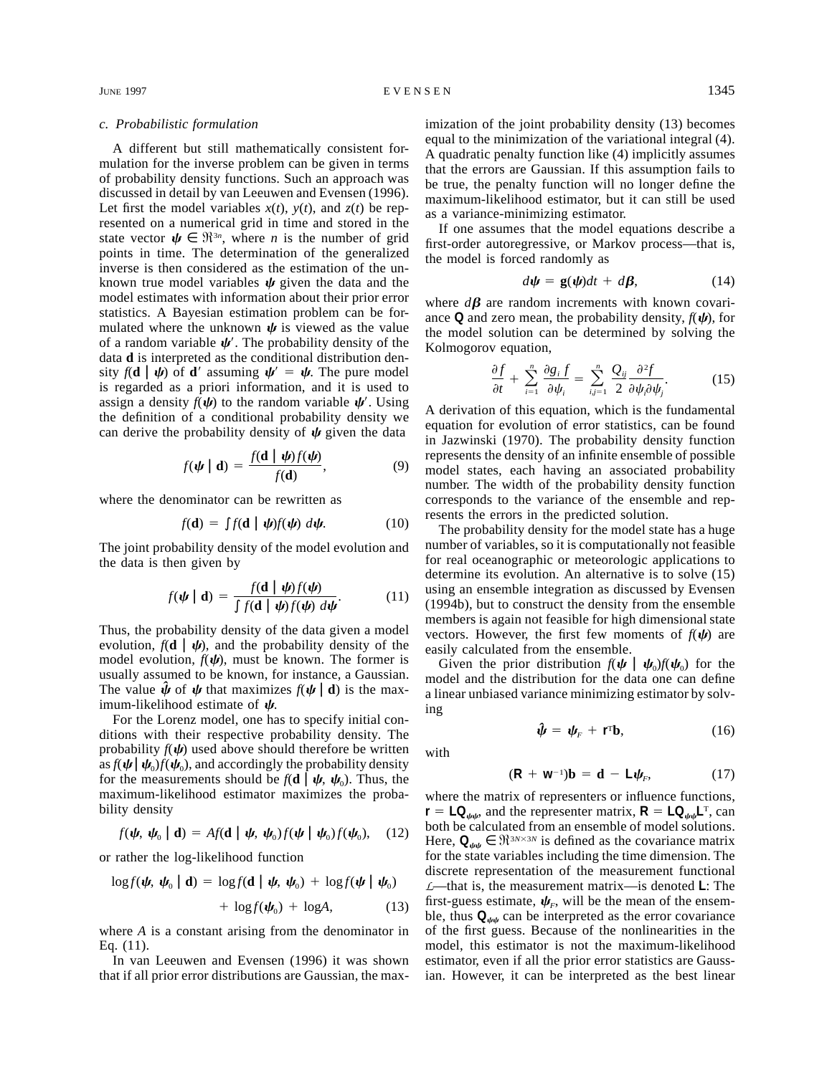# *c. Probabilistic formulation*

A different but still mathematically consistent formulation for the inverse problem can be given in terms of probability density functions. Such an approach was discussed in detail by van Leeuwen and Evensen (1996). Let first the model variables  $x(t)$ ,  $y(t)$ , and  $z(t)$  be represented on a numerical grid in time and stored in the state vector  $\psi \in \mathbb{R}^{3n}$ , where *n* is the number of grid points in time. The determination of the generalized inverse is then considered as the estimation of the unknown true model variables  $\psi$  given the data and the model estimates with information about their prior error statistics. A Bayesian estimation problem can be formulated where the unknown  $\psi$  is viewed as the value of a random variable  $\psi'$ . The probability density of the data **d** is interpreted as the conditional distribution density  $f(\mathbf{d} \mid \boldsymbol{\psi})$  of **d**<sup>*'*</sup> assuming  $\boldsymbol{\psi}' = \boldsymbol{\psi}$ . The pure model is regarded as a priori information, and it is used to assign a density  $f(\psi)$  to the random variable  $\psi'$ . Using the definition of a conditional probability density we can derive the probability density of  $\psi$  given the data

$$
f(\psi \mid \mathbf{d}) = \frac{f(\mathbf{d} \mid \psi) f(\psi)}{f(\mathbf{d})},\tag{9}
$$

where the denominator can be rewritten as

$$
f(\mathbf{d}) = \int f(\mathbf{d} \mid \boldsymbol{\psi}) f(\boldsymbol{\psi}) \ d\boldsymbol{\psi}.
$$
 (10)

The joint probability density of the model evolution and the data is then given by

$$
f(\psi \mid \mathbf{d}) = \frac{f(\mathbf{d} \mid \psi) f(\psi)}{\int f(\mathbf{d} \mid \psi) f(\psi) \ d\psi}.
$$
 (11)

Thus, the probability density of the data given a model evolution,  $f(\mathbf{d} \mid \boldsymbol{\psi})$ , and the probability density of the model evolution,  $f(\psi)$ , must be known. The former is usually assumed to be known, for instance, a Gaussian. The value  $\psi$  of  $\psi$  that maximizes  $f(\psi | d)$  is the maximum-likelihood estimate of  $\psi$ .

For the Lorenz model, one has to specify initial conditions with their respective probability density. The probability  $f(\psi)$  used above should therefore be written as  $f(\psi | \psi_0) f(\psi_0)$ , and accordingly the probability density for the measurements should be  $f(\mathbf{d} \mid \boldsymbol{\psi}, \boldsymbol{\psi}_0)$ . Thus, the maximum-likelihood estimator maximizes the probability density

$$
f(\boldsymbol{\psi},\,\boldsymbol{\psi}_0\mid\mathbf{d})=Af(\mathbf{d}\mid\boldsymbol{\psi},\,\boldsymbol{\psi}_0)f(\boldsymbol{\psi}\mid\boldsymbol{\psi}_0)f(\boldsymbol{\psi}_0),\quad(12)
$$

or rather the log-likelihood function

$$
\log f(\boldsymbol{\psi}, \boldsymbol{\psi}_0 \mid \mathbf{d}) = \log f(\mathbf{d} \mid \boldsymbol{\psi}, \boldsymbol{\psi}_0) + \log f(\boldsymbol{\psi} \mid \boldsymbol{\psi}_0)
$$

$$
+ \log f(\boldsymbol{\psi}_0) + \log A, \qquad (13)
$$

where *A* is a constant arising from the denominator in Eq. (11).

In van Leeuwen and Evensen (1996) it was shown that if all prior error distributions are Gaussian, the maximization of the joint probability density (13) becomes equal to the minimization of the variational integral (4). A quadratic penalty function like (4) implicitly assumes that the errors are Gaussian. If this assumption fails to be true, the penalty function will no longer define the maximum-likelihood estimator, but it can still be used as a variance-minimizing estimator.

If one assumes that the model equations describe a first-order autoregressive, or Markov process—that is, the model is forced randomly as

$$
d\boldsymbol{\psi} = \mathbf{g}(\boldsymbol{\psi})dt + d\boldsymbol{\beta}, \qquad (14)
$$

where  $d\beta$  are random increments with known covariance **Q** and zero mean, the probability density,  $f(\psi)$ , for the model solution can be determined by solving the Kolmogorov equation,

$$
\frac{\partial f}{\partial t} + \sum_{i=1}^{n} \frac{\partial g_i f}{\partial \psi_i} = \sum_{i,j=1}^{n} \frac{Q_{ij}}{2} \frac{\partial^2 f}{\partial \psi_i \partial \psi_j}.
$$
 (15)

A derivation of this equation, which is the fundamental equation for evolution of error statistics, can be found in Jazwinski (1970). The probability density function represents the density of an infinite ensemble of possible model states, each having an associated probability number. The width of the probability density function corresponds to the variance of the ensemble and represents the errors in the predicted solution.

The probability density for the model state has a huge number of variables, so it is computationally not feasible for real oceanographic or meteorologic applications to determine its evolution. An alternative is to solve (15) using an ensemble integration as discussed by Evensen (1994b), but to construct the density from the ensemble members is again not feasible for high dimensional state vectors. However, the first few moments of  $f(\psi)$  are easily calculated from the ensemble.

Given the prior distribution  $f(\psi \mid \psi_0) f(\psi_0)$  for the model and the distribution for the data one can define a linear unbiased variance minimizing estimator by solving

$$
\hat{\psi} = \psi_F + r^{\mathrm{T}} \mathbf{b}, \qquad (16)
$$

with

$$
(\mathbf{R} + \mathbf{W}^{-1})\mathbf{b} = \mathbf{d} - \mathbf{L}\boldsymbol{\psi}_F, \qquad (17)
$$

where the matrix of representers or influence functions,  $\mathbf{r} = \mathbf{L}\mathbf{Q}_{\mu\mu}$ , and the representer matrix,  $\mathbf{R} = \mathbf{L}\mathbf{Q}_{\mu\mu} \mathbf{L}^T$ , can both be calculated from an ensemble of model solutions. Here,  $\mathbf{Q}_{\text{dark}} \in \mathbb{R}^{3N \times 3N}$  is defined as the covariance matrix for the state variables including the time dimension. The discrete representation of the measurement functional *L*—that is, the measurement matrix—is denoted **L**: The first-guess estimate,  $\psi_F$ , will be the mean of the ensemble, thus  $\mathbf{Q}_{\mu\mu}$  can be interpreted as the error covariance of the first guess. Because of the nonlinearities in the model, this estimator is not the maximum-likelihood estimator, even if all the prior error statistics are Gaussian. However, it can be interpreted as the best linear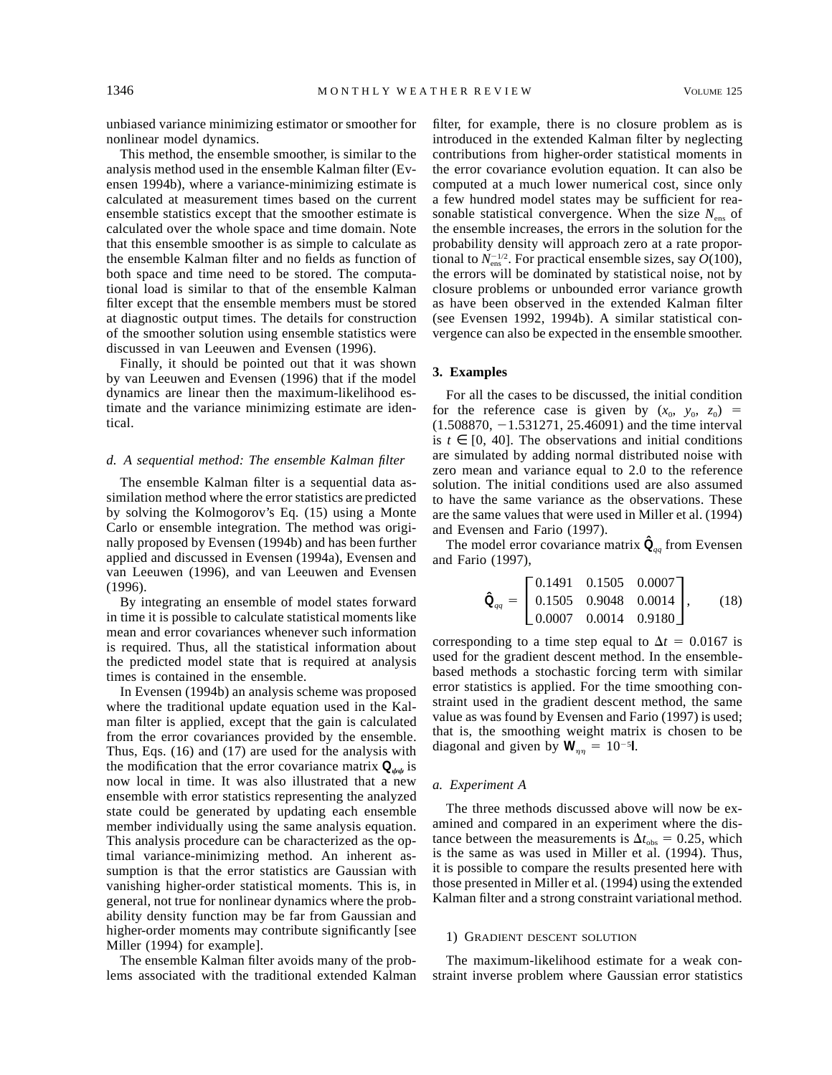unbiased variance minimizing estimator or smoother for nonlinear model dynamics.

This method, the ensemble smoother, is similar to the analysis method used in the ensemble Kalman filter (Evensen 1994b), where a variance-minimizing estimate is calculated at measurement times based on the current ensemble statistics except that the smoother estimate is calculated over the whole space and time domain. Note that this ensemble smoother is as simple to calculate as the ensemble Kalman filter and no fields as function of both space and time need to be stored. The computational load is similar to that of the ensemble Kalman filter except that the ensemble members must be stored at diagnostic output times. The details for construction of the smoother solution using ensemble statistics were discussed in van Leeuwen and Evensen (1996).

Finally, it should be pointed out that it was shown by van Leeuwen and Evensen (1996) that if the model dynamics are linear then the maximum-likelihood estimate and the variance minimizing estimate are identical.

#### *d. A sequential method: The ensemble Kalman filter*

The ensemble Kalman filter is a sequential data assimilation method where the error statistics are predicted by solving the Kolmogorov's Eq. (15) using a Monte Carlo or ensemble integration. The method was originally proposed by Evensen (1994b) and has been further applied and discussed in Evensen (1994a), Evensen and van Leeuwen (1996), and van Leeuwen and Evensen (1996).

By integrating an ensemble of model states forward in time it is possible to calculate statistical moments like mean and error covariances whenever such information is required. Thus, all the statistical information about the predicted model state that is required at analysis times is contained in the ensemble.

In Evensen (1994b) an analysis scheme was proposed where the traditional update equation used in the Kalman filter is applied, except that the gain is calculated from the error covariances provided by the ensemble. Thus, Eqs. (16) and (17) are used for the analysis with the modification that the error covariance matrix  $\mathbf{Q}_{\text{adv}}$  is now local in time. It was also illustrated that a new ensemble with error statistics representing the analyzed state could be generated by updating each ensemble member individually using the same analysis equation. This analysis procedure can be characterized as the optimal variance-minimizing method. An inherent assumption is that the error statistics are Gaussian with vanishing higher-order statistical moments. This is, in general, not true for nonlinear dynamics where the probability density function may be far from Gaussian and higher-order moments may contribute significantly [see Miller (1994) for example].

The ensemble Kalman filter avoids many of the problems associated with the traditional extended Kalman

filter, for example, there is no closure problem as is introduced in the extended Kalman filter by neglecting contributions from higher-order statistical moments in the error covariance evolution equation. It can also be computed at a much lower numerical cost, since only a few hundred model states may be sufficient for reasonable statistical convergence. When the size  $N_{\text{ens}}$  of the ensemble increases, the errors in the solution for the probability density will approach zero at a rate proportional to  $N_{\text{ens}}^{-1/2}$ . For practical ensemble sizes, say  $O(100)$ , the errors will be dominated by statistical noise, not by closure problems or unbounded error variance growth as have been observed in the extended Kalman filter (see Evensen 1992, 1994b). A similar statistical convergence can also be expected in the ensemble smoother.

### **3. Examples**

For all the cases to be discussed, the initial condition for the reference case is given by  $(x_0, y_0, z_0)$  =  $(1.508870, -1.531271, 25.46091)$  and the time interval is  $t \in [0, 40]$ . The observations and initial conditions are simulated by adding normal distributed noise with zero mean and variance equal to 2.0 to the reference solution. The initial conditions used are also assumed to have the same variance as the observations. These are the same values that were used in Miller et al. (1994) and Evensen and Fario (1997).

The model error covariance matrix  $\dot{Q}_{qa}$  from Evensen and Fario (1997),

$$
\hat{\mathbf{Q}}_{qq} = \begin{bmatrix} 0.1491 & 0.1505 & 0.0007 \\ 0.1505 & 0.9048 & 0.0014 \\ 0.0007 & 0.0014 & 0.9180 \end{bmatrix}, \qquad (18)
$$

corresponding to a time step equal to  $\Delta t = 0.0167$  is used for the gradient descent method. In the ensemblebased methods a stochastic forcing term with similar error statistics is applied. For the time smoothing constraint used in the gradient descent method, the same value as was found by Evensen and Fario (1997) is used; that is, the smoothing weight matrix is chosen to be diagonal and given by  $W_{\eta\eta} = 10^{-5}I$ .

### *a. Experiment A*

The three methods discussed above will now be examined and compared in an experiment where the distance between the measurements is  $\Delta t_{obs} = 0.25$ , which is the same as was used in Miller et al. (1994). Thus, it is possible to compare the results presented here with those presented in Miller et al. (1994) using the extended Kalman filter and a strong constraint variational method.

#### 1) GRADIENT DESCENT SOLUTION

The maximum-likelihood estimate for a weak constraint inverse problem where Gaussian error statistics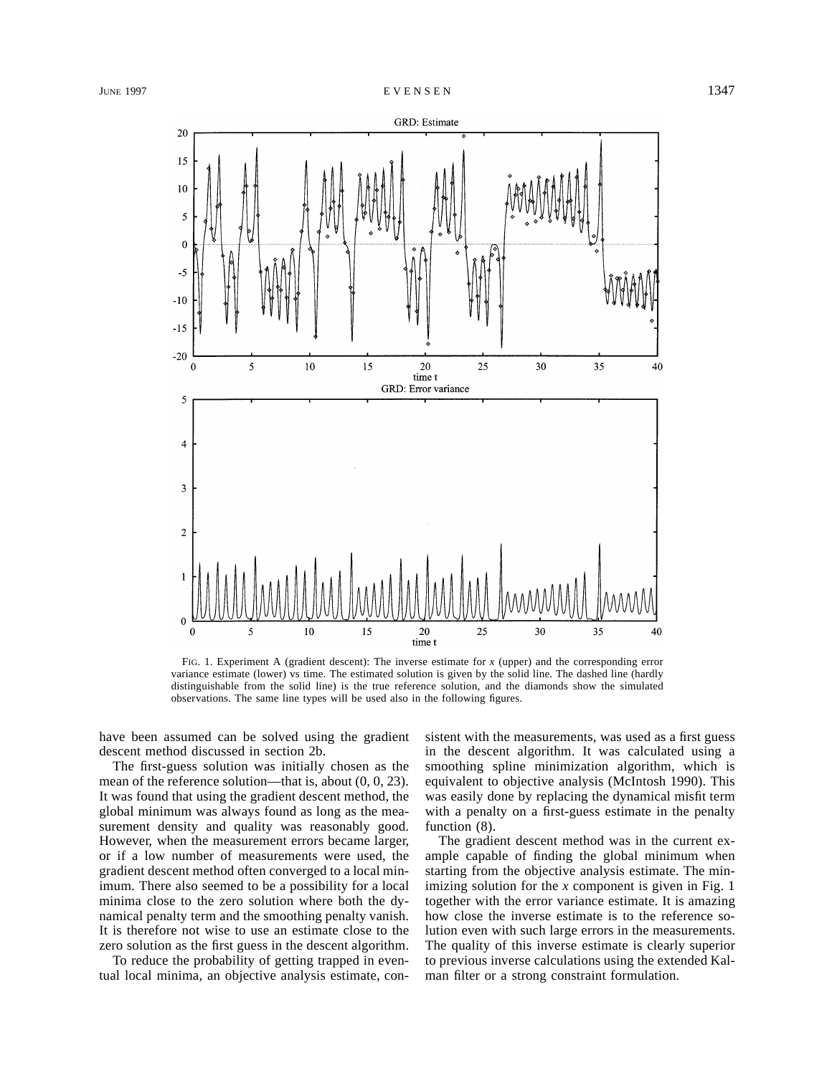

FIG. 1. Experiment A (gradient descent): The inverse estimate for *x* (upper) and the corresponding error variance estimate (lower) vs time. The estimated solution is given by the solid line. The dashed line (hardly distinguishable from the solid line) is the true reference solution, and the diamonds show the simulated observations. The same line types will be used also in the following figures.

have been assumed can be solved using the gradient descent method discussed in section 2b.

The first-guess solution was initially chosen as the mean of the reference solution—that is, about (0, 0, 23). It was found that using the gradient descent method, the global minimum was always found as long as the measurement density and quality was reasonably good. However, when the measurement errors became larger, or if a low number of measurements were used, the gradient descent method often converged to a local minimum. There also seemed to be a possibility for a local minima close to the zero solution where both the dynamical penalty term and the smoothing penalty vanish. It is therefore not wise to use an estimate close to the zero solution as the first guess in the descent algorithm.

To reduce the probability of getting trapped in eventual local minima, an objective analysis estimate, consistent with the measurements, was used as a first guess in the descent algorithm. It was calculated using a smoothing spline minimization algorithm, which is equivalent to objective analysis (McIntosh 1990). This was easily done by replacing the dynamical misfit term with a penalty on a first-guess estimate in the penalty function (8).

The gradient descent method was in the current example capable of finding the global minimum when starting from the objective analysis estimate. The minimizing solution for the *x* component is given in Fig. 1 together with the error variance estimate. It is amazing how close the inverse estimate is to the reference solution even with such large errors in the measurements. The quality of this inverse estimate is clearly superior to previous inverse calculations using the extended Kalman filter or a strong constraint formulation.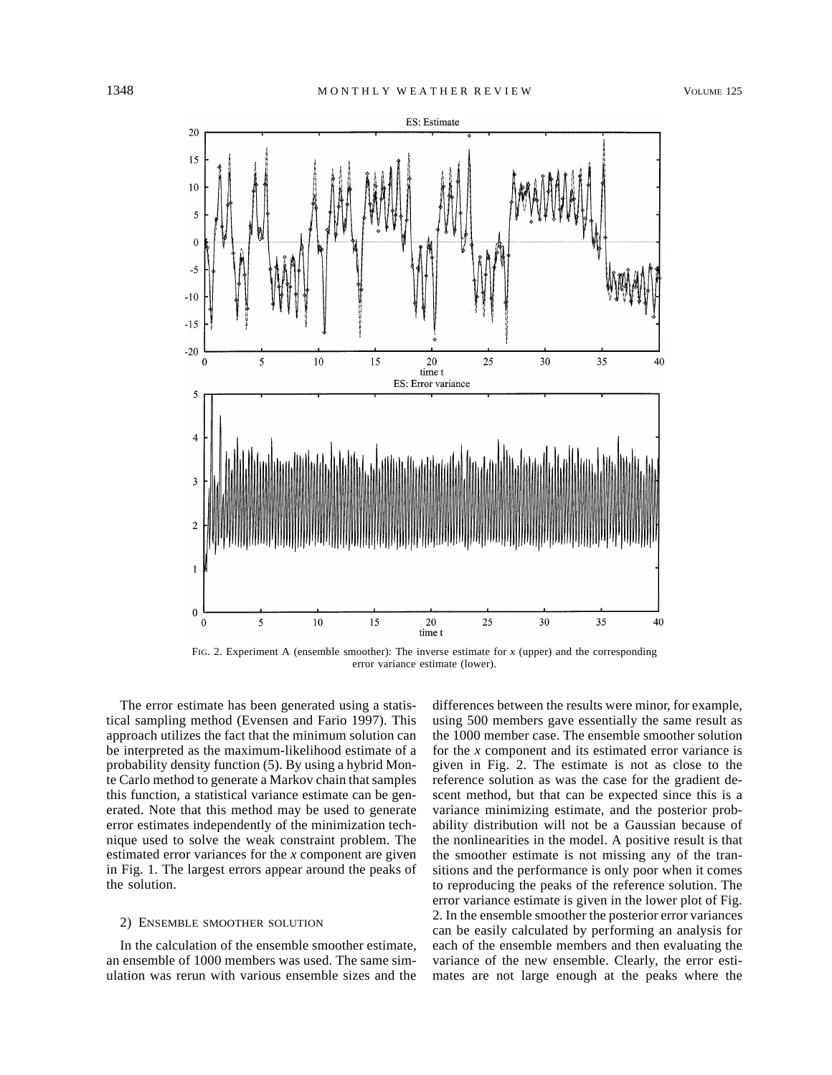

FIG. 2. Experiment A (ensemble smoother): The inverse estimate for *x* (upper) and the corresponding error variance estimate (lower).

The error estimate has been generated using a statistical sampling method (Evensen and Fario 1997). This approach utilizes the fact that the minimum solution can be interpreted as the maximum-likelihood estimate of a probability density function (5). By using a hybrid Monte Carlo method to generate a Markov chain that samples this function, a statistical variance estimate can be generated. Note that this method may be used to generate error estimates independently of the minimization technique used to solve the weak constraint problem. The estimated error variances for the *x* component are given in Fig. 1. The largest errors appear around the peaks of the solution.

### 2) ENSEMBLE SMOOTHER SOLUTION

In the calculation of the ensemble smoother estimate, an ensemble of 1000 members was used. The same simulation was rerun with various ensemble sizes and the

differences between the results were minor, for example, using 500 members gave essentially the same result as the 1000 member case. The ensemble smoother solution for the *x* component and its estimated error variance is given in Fig. 2. The estimate is not as close to the reference solution as was the case for the gradient descent method, but that can be expected since this is a variance minimizing estimate, and the posterior probability distribution will not be a Gaussian because of the nonlinearities in the model. A positive result is that the smoother estimate is not missing any of the transitions and the performance is only poor when it comes to reproducing the peaks of the reference solution. The error variance estimate is given in the lower plot of Fig. 2. In the ensemble smoother the posterior error variances can be easily calculated by performing an analysis for each of the ensemble members and then evaluating the variance of the new ensemble. Clearly, the error estimates are not large enough at the peaks where the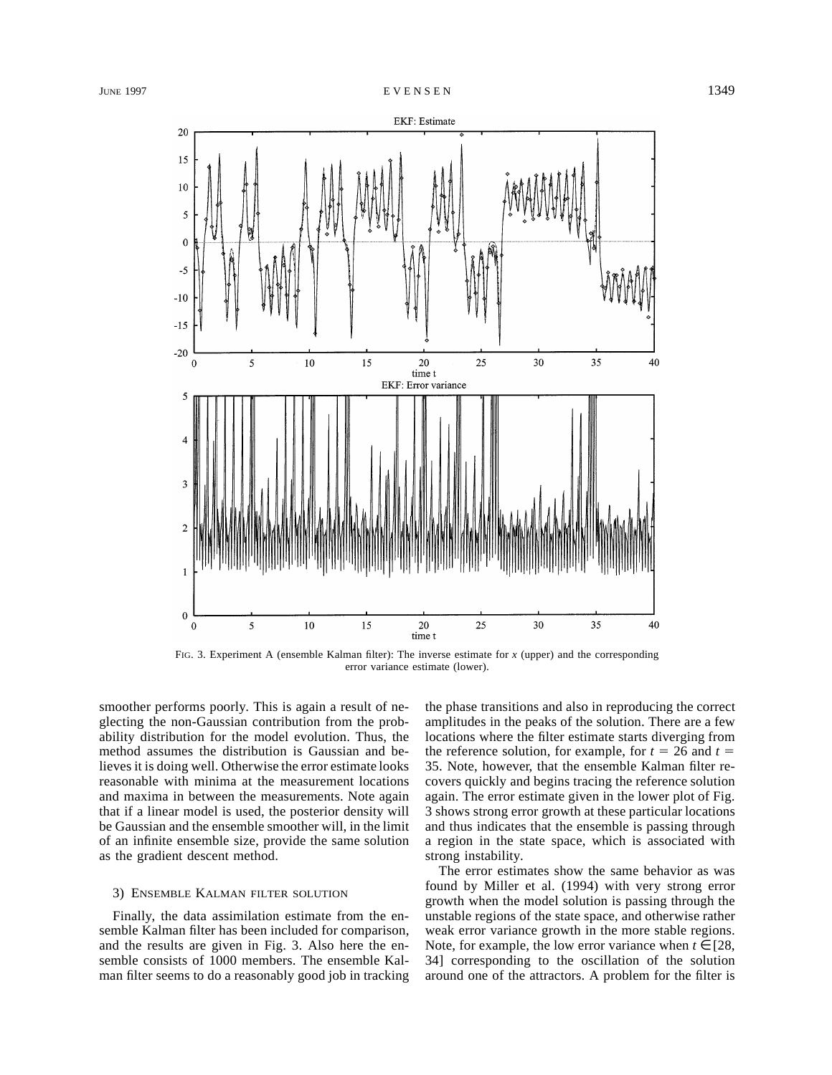

FIG. 3. Experiment A (ensemble Kalman filter): The inverse estimate for *x* (upper) and the corresponding error variance estimate (lower).

smoother performs poorly. This is again a result of neglecting the non-Gaussian contribution from the probability distribution for the model evolution. Thus, the method assumes the distribution is Gaussian and believes it is doing well. Otherwise the error estimate looks reasonable with minima at the measurement locations and maxima in between the measurements. Note again that if a linear model is used, the posterior density will be Gaussian and the ensemble smoother will, in the limit of an infinite ensemble size, provide the same solution as the gradient descent method.

### 3) ENSEMBLE KALMAN FILTER SOLUTION

Finally, the data assimilation estimate from the ensemble Kalman filter has been included for comparison, and the results are given in Fig. 3. Also here the ensemble consists of 1000 members. The ensemble Kalman filter seems to do a reasonably good job in tracking the phase transitions and also in reproducing the correct amplitudes in the peaks of the solution. There are a few locations where the filter estimate starts diverging from the reference solution, for example, for  $t = 26$  and  $t =$ 35. Note, however, that the ensemble Kalman filter recovers quickly and begins tracing the reference solution again. The error estimate given in the lower plot of Fig. 3 shows strong error growth at these particular locations and thus indicates that the ensemble is passing through a region in the state space, which is associated with strong instability.

The error estimates show the same behavior as was found by Miller et al. (1994) with very strong error growth when the model solution is passing through the unstable regions of the state space, and otherwise rather weak error variance growth in the more stable regions. Note, for example, the low error variance when  $t \in [28, 12]$ 34] corresponding to the oscillation of the solution around one of the attractors. A problem for the filter is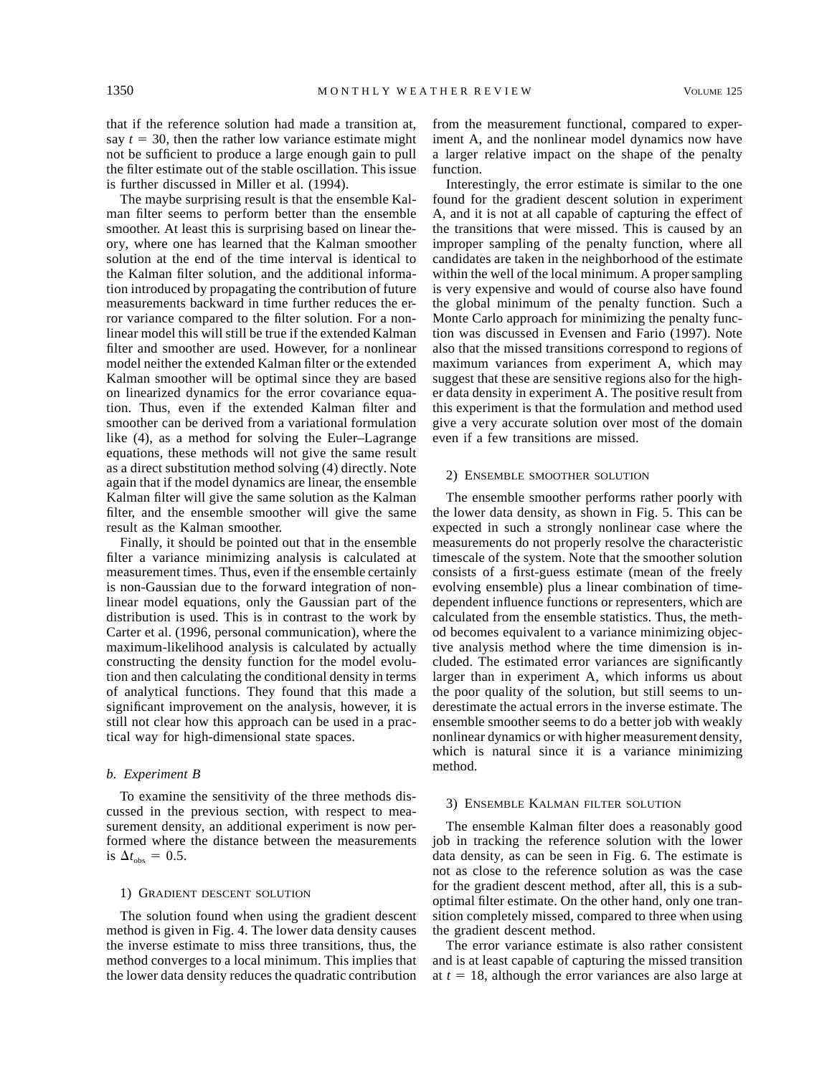that if the reference solution had made a transition at, say  $t = 30$ , then the rather low variance estimate might not be sufficient to produce a large enough gain to pull the filter estimate out of the stable oscillation. This issue is further discussed in Miller et al. (1994).

The maybe surprising result is that the ensemble Kalman filter seems to perform better than the ensemble smoother. At least this is surprising based on linear theory, where one has learned that the Kalman smoother solution at the end of the time interval is identical to the Kalman filter solution, and the additional information introduced by propagating the contribution of future measurements backward in time further reduces the error variance compared to the filter solution. For a nonlinear model this will still be true if the extended Kalman filter and smoother are used. However, for a nonlinear model neither the extended Kalman filter or the extended Kalman smoother will be optimal since they are based on linearized dynamics for the error covariance equation. Thus, even if the extended Kalman filter and smoother can be derived from a variational formulation like (4), as a method for solving the Euler–Lagrange equations, these methods will not give the same result as a direct substitution method solving (4) directly. Note again that if the model dynamics are linear, the ensemble Kalman filter will give the same solution as the Kalman filter, and the ensemble smoother will give the same result as the Kalman smoother.

Finally, it should be pointed out that in the ensemble filter a variance minimizing analysis is calculated at measurement times. Thus, even if the ensemble certainly is non-Gaussian due to the forward integration of nonlinear model equations, only the Gaussian part of the distribution is used. This is in contrast to the work by Carter et al. (1996, personal communication), where the maximum-likelihood analysis is calculated by actually constructing the density function for the model evolution and then calculating the conditional density in terms of analytical functions. They found that this made a significant improvement on the analysis, however, it is still not clear how this approach can be used in a practical way for high-dimensional state spaces.

## *b. Experiment B*

To examine the sensitivity of the three methods discussed in the previous section, with respect to measurement density, an additional experiment is now performed where the distance between the measurements is  $\Delta t_{\rm obs} = 0.5$ .

# 1) GRADIENT DESCENT SOLUTION

The solution found when using the gradient descent method is given in Fig. 4. The lower data density causes the inverse estimate to miss three transitions, thus, the method converges to a local minimum. This implies that the lower data density reduces the quadratic contribution from the measurement functional, compared to experiment A, and the nonlinear model dynamics now have a larger relative impact on the shape of the penalty function.

Interestingly, the error estimate is similar to the one found for the gradient descent solution in experiment A, and it is not at all capable of capturing the effect of the transitions that were missed. This is caused by an improper sampling of the penalty function, where all candidates are taken in the neighborhood of the estimate within the well of the local minimum. A proper sampling is very expensive and would of course also have found the global minimum of the penalty function. Such a Monte Carlo approach for minimizing the penalty function was discussed in Evensen and Fario (1997). Note also that the missed transitions correspond to regions of maximum variances from experiment A, which may suggest that these are sensitive regions also for the higher data density in experiment A. The positive result from this experiment is that the formulation and method used give a very accurate solution over most of the domain even if a few transitions are missed.

#### 2) ENSEMBLE SMOOTHER SOLUTION

The ensemble smoother performs rather poorly with the lower data density, as shown in Fig. 5. This can be expected in such a strongly nonlinear case where the measurements do not properly resolve the characteristic timescale of the system. Note that the smoother solution consists of a first-guess estimate (mean of the freely evolving ensemble) plus a linear combination of timedependent influence functions or representers, which are calculated from the ensemble statistics. Thus, the method becomes equivalent to a variance minimizing objective analysis method where the time dimension is included. The estimated error variances are significantly larger than in experiment A, which informs us about the poor quality of the solution, but still seems to underestimate the actual errors in the inverse estimate. The ensemble smoother seems to do a better job with weakly nonlinear dynamics or with higher measurement density, which is natural since it is a variance minimizing method.

# 3) ENSEMBLE KALMAN FILTER SOLUTION

The ensemble Kalman filter does a reasonably good job in tracking the reference solution with the lower data density, as can be seen in Fig. 6. The estimate is not as close to the reference solution as was the case for the gradient descent method, after all, this is a suboptimal filter estimate. On the other hand, only one transition completely missed, compared to three when using the gradient descent method.

The error variance estimate is also rather consistent and is at least capable of capturing the missed transition at  $t = 18$ , although the error variances are also large at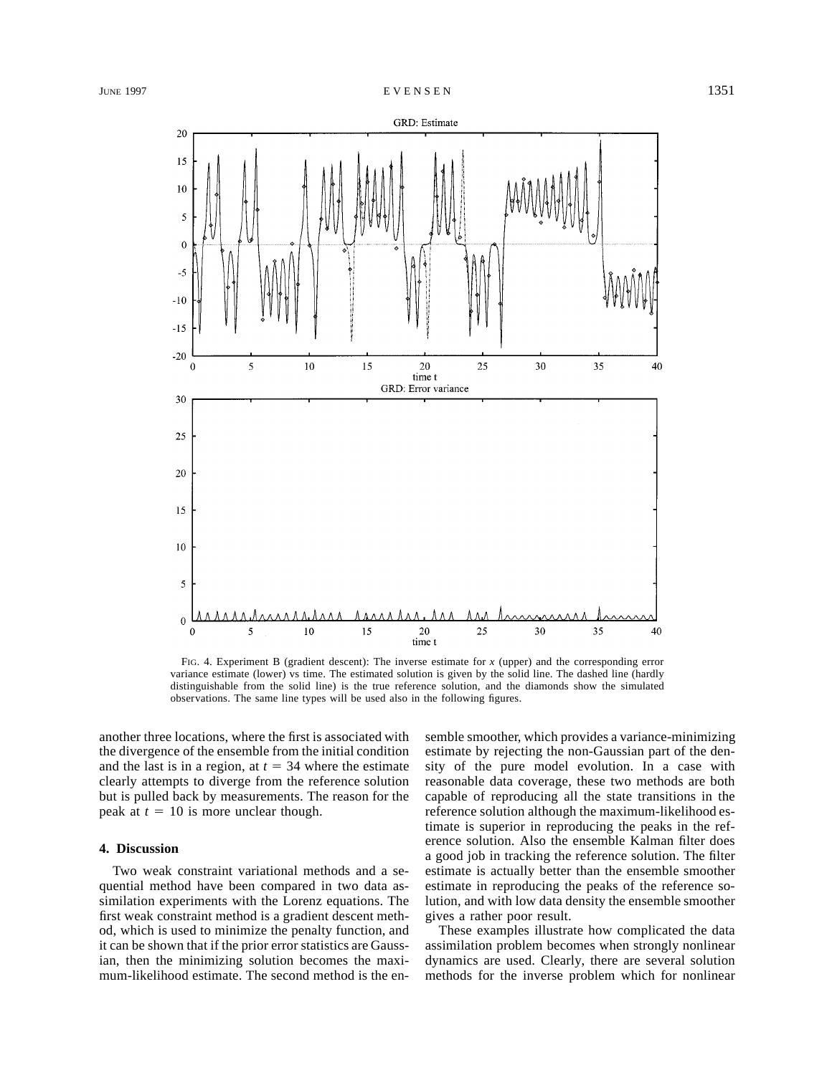

FIG. 4. Experiment B (gradient descent): The inverse estimate for *x* (upper) and the corresponding error variance estimate (lower) vs time. The estimated solution is given by the solid line. The dashed line (hardly distinguishable from the solid line) is the true reference solution, and the diamonds show the simulated observations. The same line types will be used also in the following figures.

another three locations, where the first is associated with the divergence of the ensemble from the initial condition and the last is in a region, at  $t = 34$  where the estimate clearly attempts to diverge from the reference solution but is pulled back by measurements. The reason for the peak at  $t = 10$  is more unclear though.

## **4. Discussion**

Two weak constraint variational methods and a sequential method have been compared in two data assimilation experiments with the Lorenz equations. The first weak constraint method is a gradient descent method, which is used to minimize the penalty function, and it can be shown that if the prior error statistics are Gaussian, then the minimizing solution becomes the maximum-likelihood estimate. The second method is the ensemble smoother, which provides a variance-minimizing estimate by rejecting the non-Gaussian part of the density of the pure model evolution. In a case with reasonable data coverage, these two methods are both capable of reproducing all the state transitions in the reference solution although the maximum-likelihood estimate is superior in reproducing the peaks in the reference solution. Also the ensemble Kalman filter does a good job in tracking the reference solution. The filter estimate is actually better than the ensemble smoother estimate in reproducing the peaks of the reference solution, and with low data density the ensemble smoother gives a rather poor result.

These examples illustrate how complicated the data assimilation problem becomes when strongly nonlinear dynamics are used. Clearly, there are several solution methods for the inverse problem which for nonlinear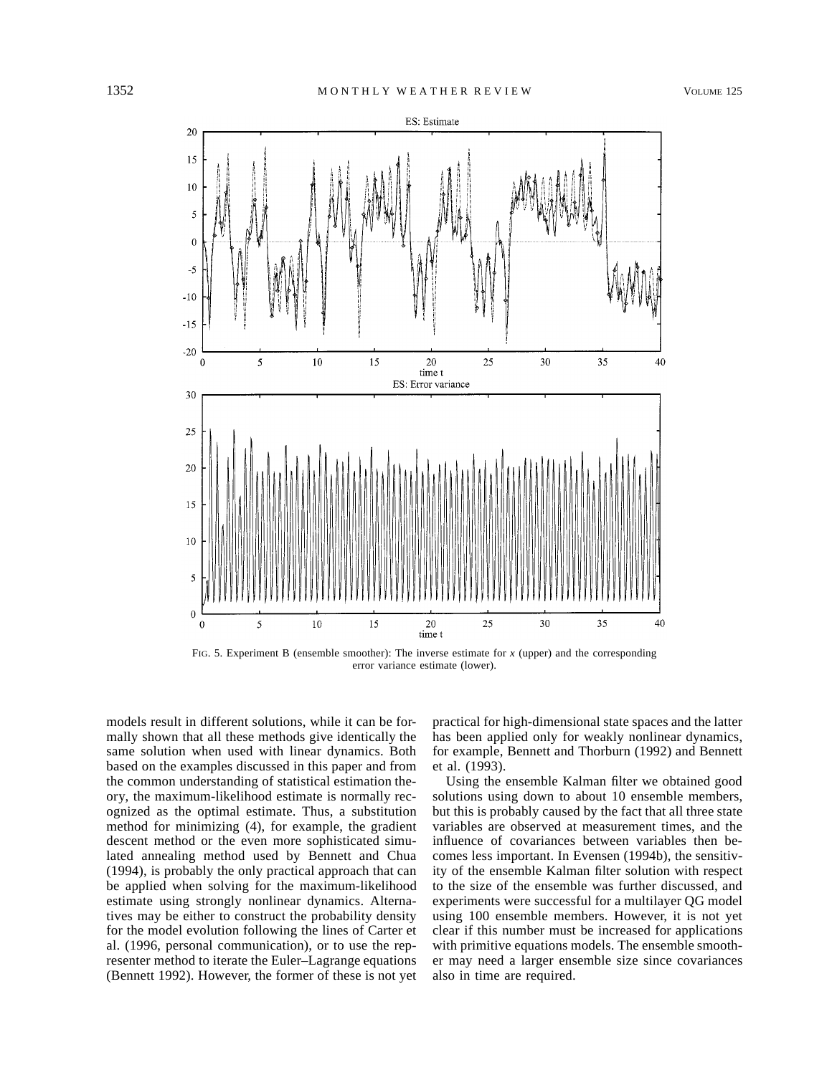

FIG. 5. Experiment B (ensemble smoother): The inverse estimate for *x* (upper) and the corresponding error variance estimate (lower).

models result in different solutions, while it can be formally shown that all these methods give identically the same solution when used with linear dynamics. Both based on the examples discussed in this paper and from the common understanding of statistical estimation theory, the maximum-likelihood estimate is normally recognized as the optimal estimate. Thus, a substitution method for minimizing (4), for example, the gradient descent method or the even more sophisticated simulated annealing method used by Bennett and Chua (1994), is probably the only practical approach that can be applied when solving for the maximum-likelihood estimate using strongly nonlinear dynamics. Alternatives may be either to construct the probability density for the model evolution following the lines of Carter et al. (1996, personal communication), or to use the representer method to iterate the Euler–Lagrange equations (Bennett 1992). However, the former of these is not yet

practical for high-dimensional state spaces and the latter has been applied only for weakly nonlinear dynamics, for example, Bennett and Thorburn (1992) and Bennett et al. (1993).

Using the ensemble Kalman filter we obtained good solutions using down to about 10 ensemble members, but this is probably caused by the fact that all three state variables are observed at measurement times, and the influence of covariances between variables then becomes less important. In Evensen (1994b), the sensitivity of the ensemble Kalman filter solution with respect to the size of the ensemble was further discussed, and experiments were successful for a multilayer QG model using 100 ensemble members. However, it is not yet clear if this number must be increased for applications with primitive equations models. The ensemble smoother may need a larger ensemble size since covariances also in time are required.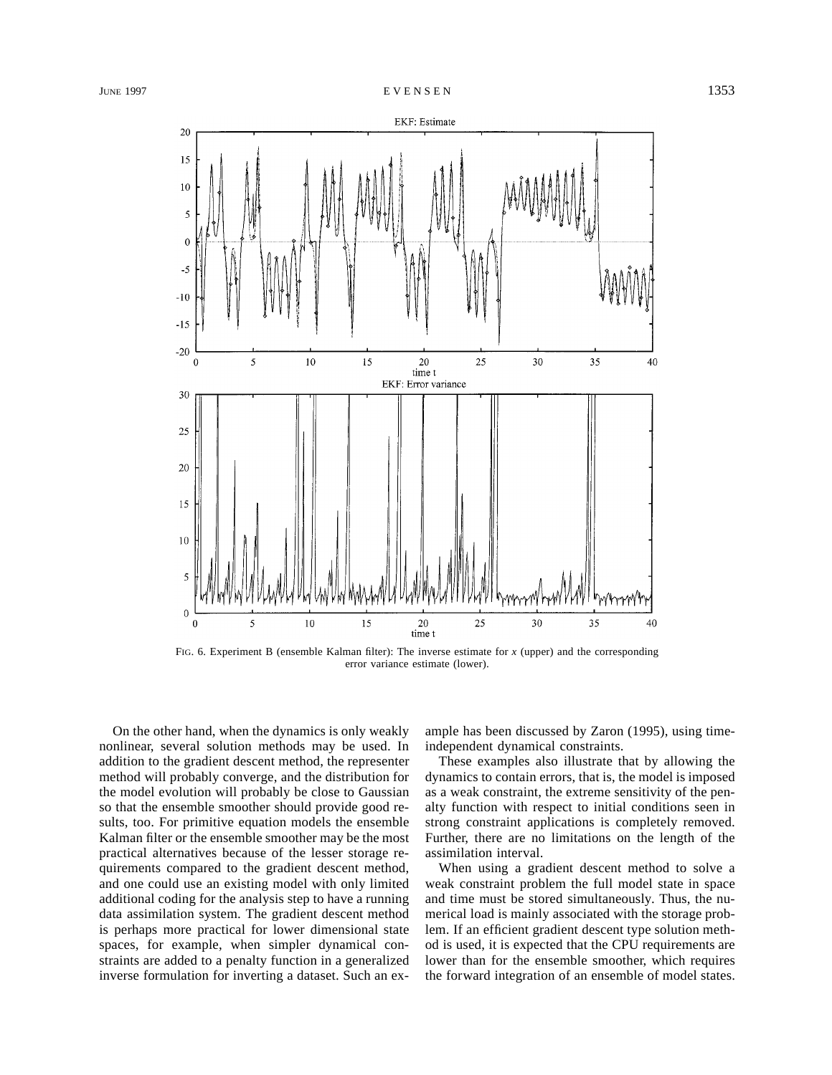

FIG. 6. Experiment B (ensemble Kalman filter): The inverse estimate for *x* (upper) and the corresponding error variance estimate (lower).

On the other hand, when the dynamics is only weakly nonlinear, several solution methods may be used. In addition to the gradient descent method, the representer method will probably converge, and the distribution for the model evolution will probably be close to Gaussian so that the ensemble smoother should provide good results, too. For primitive equation models the ensemble Kalman filter or the ensemble smoother may be the most practical alternatives because of the lesser storage requirements compared to the gradient descent method, and one could use an existing model with only limited additional coding for the analysis step to have a running data assimilation system. The gradient descent method is perhaps more practical for lower dimensional state spaces, for example, when simpler dynamical constraints are added to a penalty function in a generalized inverse formulation for inverting a dataset. Such an ex-

ample has been discussed by Zaron (1995), using timeindependent dynamical constraints.

These examples also illustrate that by allowing the dynamics to contain errors, that is, the model is imposed as a weak constraint, the extreme sensitivity of the penalty function with respect to initial conditions seen in strong constraint applications is completely removed. Further, there are no limitations on the length of the assimilation interval.

When using a gradient descent method to solve a weak constraint problem the full model state in space and time must be stored simultaneously. Thus, the numerical load is mainly associated with the storage problem. If an efficient gradient descent type solution method is used, it is expected that the CPU requirements are lower than for the ensemble smoother, which requires the forward integration of an ensemble of model states.